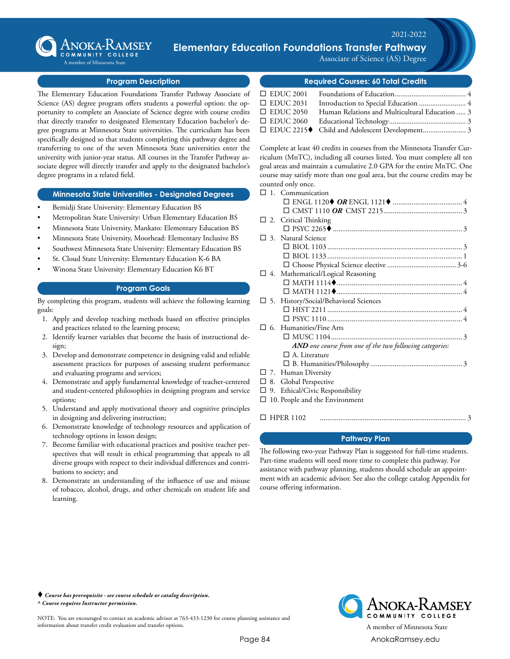

### $\mathbf{x} \cdot \mathbf{x} \cdot \mathbf{y} = \mathbf{y} \cdot \mathbf{y} \cdot \mathbf{y} \cdot \mathbf{y} \cdot \mathbf{y} \cdot \mathbf{y} \cdot \mathbf{y} \cdot \mathbf{y} \cdot \mathbf{y} \cdot \mathbf{y} \cdot \mathbf{y} \cdot \mathbf{y} \cdot \mathbf{y} \cdot \mathbf{y} \cdot \mathbf{y} \cdot \mathbf{y} \cdot \mathbf{y} \cdot \mathbf{y} \cdot \mathbf{y} \cdot \mathbf{y} \cdot \mathbf{y} \cdot \mathbf{y} \cdot \mathbf{y} \cdot \mathbf{y} \cdot \mathbf{y} \$ **ANOKA-KAMSEY Elementary Education Foundations Transfer Pathway**

A member of Minnesota State

2016-2017

Associate of Science (AS) Degree

### **Program Description**

The Elementary Education Foundations Transfer Pathway Associate of Science (AS) degree program offers students a powerful option: the opportunity to complete an Associate of Science degree with course credits that directly transfer to designated Elementary Education bachelor's degree programs at Minnesota State universities. The curriculum has been specifically designed so that students completing this pathway degree and transferring to one of the seven Minnesota State universities enter the university with junior-year status. All courses in the Transfer Pathway associate degree will directly transfer and apply to the designated bachelor's degree programs in a related field.

### **Minnesota State Universities - Designated Degrees**

- Bemidji State University: Elementary Education BS
- Metropolitan State University: Urban Elementary Education BS
- Minnesota State University, Mankato: Elementary Education BS
- Minnesota State University, Moorhead: Elementary Inclusive BS
- Southwest Minnesota State University: Elementary Education BS
- St. Cloud State University: Elementary Education K-6 BA
- Winona State University: Elementary Education K6 BT

## **Program Goals**

By completing this program, students will achieve the following learning goals:

- 1. Apply and develop teaching methods based on effective principles and practices related to the learning process;
- 2. Identify learner variables that become the basis of instructional design;
- 3. Develop and demonstrate competence in designing valid and reliable assessment practices for purposes of assessing student performance and evaluating programs and services;
- 4. Demonstrate and apply fundamental knowledge of teacher-centered and student-centered philosophies in designing program and service options;
- 5. Understand and apply motivational theory and cognitive principles in designing and delivering instruction;
- 6. Demonstrate knowledge of technology resources and application of technology options in lesson design;
- 7. Become familiar with educational practices and positive teacher perspectives that will result in ethical programming that appeals to all diverse groups with respect to their individual differences and contributions to society; and
- 8. Demonstrate an understanding of the influence of use and misuse of tobacco, alcohol, drugs, and other chemicals on student life and learning.

**Required Courses: 60 Total Credits**

| $\Box$ EDUC 2001 |                                                 |  |
|------------------|-------------------------------------------------|--|
| $\Box$ EDUC 2031 |                                                 |  |
| $\Box$ EDUC 2050 | Human Relations and Multicultural Education  3  |  |
|                  |                                                 |  |
|                  | □ EDUC 2215◆ Child and Adolescent Development 3 |  |

Complete at least 40 credits in courses from the Minnesota Transfer Curriculum (MnTC), including all courses listed. You must complete all ten goal areas and maintain a cumulative 2.0 GPA for the entire MnTC. One course may satisfy more than one goal area, but the course credits may be counted only once.

| $\mathbf{1}$ | Communication                                            |
|--------------|----------------------------------------------------------|
|              |                                                          |
|              |                                                          |
|              | $\Box$ 2. Critical Thinking                              |
|              |                                                          |
|              | $\Box$ 3. Natural Science                                |
|              |                                                          |
|              |                                                          |
|              |                                                          |
|              | $\Box$ 4. Mathematical/Logical Reasoning                 |
|              |                                                          |
|              |                                                          |
| 口 5.         | History/Social/Behavioral Sciences                       |
|              |                                                          |
|              |                                                          |
| 6.           | Humanities/Fine Arts                                     |
|              |                                                          |
|              | AND one course from one of the two following categories: |
|              | $\Box$ A. Literature                                     |
|              |                                                          |
|              | 7. Human Diversity                                       |
| 8.           | Global Perspective                                       |
|              | 9. Ethical/Civic Responsibility                          |
|              | 10. People and the Environment                           |
|              |                                                          |

¨ HPER 1102............................................................................... 3

## **Pathway Plan**

The following two-year Pathway Plan is suggested for full-time students. Part-time students will need more time to complete this pathway. For assistance with pathway planning, students should schedule an appointment with an academic advisor. See also the college catalog Appendix for course offering information.

 *Course has prerequisite - see course schedule or catalog description. ^ Course requires Instructor permission.*

NOTE: You are encouraged to contact an academic advisor at 763-433-1230 for course planning assistance and information about transfer credit evaluation and transfer options.